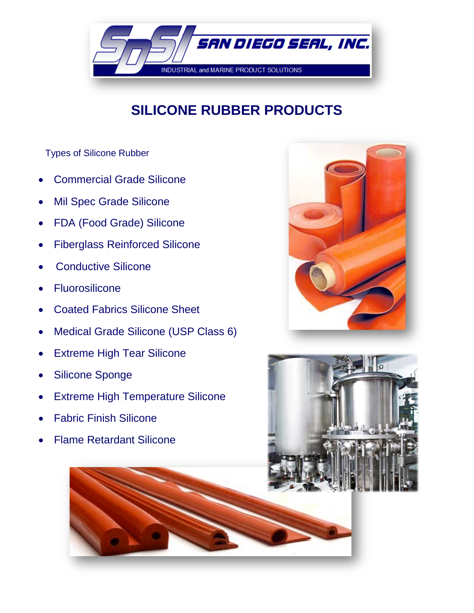

# **SILICONE RUBBER PRODUCTS**

Types of Silicone Rubber

- Commercial Grade Silicone
- Mil Spec Grade Silicone
- FDA (Food Grade) Silicone
- Fiberglass Reinforced Silicone
- Conductive Silicone
- **Fluorosilicone**
- Coated Fabrics Silicone Sheet
- Medical Grade Silicone (USP Class 6)
- **Extreme High Tear Silicone**
- Silicone Sponge
- **Extreme High Temperature Silicone**
- Fabric Finish Silicone
- Flame Retardant Silicone



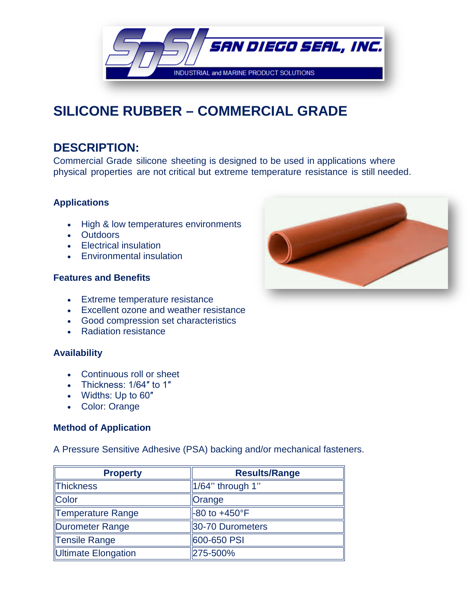

## **SILICONE RUBBER – COMMERCIAL GRADE**

## **DESCRIPTION:**

Commercial Grade silicone sheeting is designed to be used in applications where physical properties are not critical but extreme temperature resistance is still needed.

## **Applications**

- High & low temperatures environments
- Outdoors
- Electrical insulation
- Environmental insulation

## **Features and Benefits**

- Extreme temperature resistance
- Excellent ozone and weather resistance
- Good compression set characteristics
- Radiation resistance

## **Availability**

- Continuous roll or sheet
- Thickness: 1/64″ to 1″
- Widths: Up to 60″
- Color: Orange

## **Method of Application**

A Pressure Sensitive Adhesive (PSA) backing and/or mechanical fasteners.

| <b>Property</b>     | <b>Results/Range</b>      |
|---------------------|---------------------------|
| Thickness           | $1/64$ " through 1"       |
| Color               | Orange                    |
| Temperature Range   | $-80$ to $+450^{\circ}$ F |
| Durometer Range     | 30-70 Durometers          |
| Tensile Range       | 600-650 PSI               |
| Ultimate Elongation | 275-500%                  |

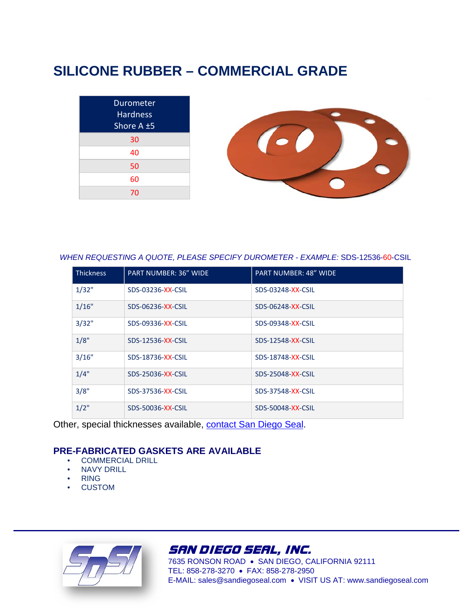## **SILICONE RUBBER – COMMERCIAL GRADE**

| <b>Durometer</b><br>Hardness<br>Shore A ±5 |  |
|--------------------------------------------|--|
| 30                                         |  |
| 40                                         |  |
| 50                                         |  |
| 60                                         |  |
| 70                                         |  |

 *WHEN REQUESTING A QUOTE, PLEASE SPECIFY DUROMETER - EXAMPLE:* SDS-12536-60-CSIL

| <b>Thickness</b> | <b>PART NUMBER: 36" WIDE</b> | <b>PART NUMBER: 48" WIDE</b> |
|------------------|------------------------------|------------------------------|
| 1/32"            | SDS-03236-XX-CSIL            | SDS-03248-XX-CSIL            |
| 1/16"            | SDS-06236-XX-CSIL            | SDS-06248-XX-CSIL            |
| 3/32"            | SDS-09336-XX-CSIL            | SDS-09348-XX-CSIL            |
| 1/8"             | SDS-12536-XX-CSIL            | SDS-12548-XX-CSIL            |
| 3/16"            | SDS-18736-XX-CSIL            | SDS-18748-XX-CSIL            |
| 1/4"             | SDS-25036-XX-CSIL            | SDS-25048-XX-CSIL            |
| 3/8"             | SDS-37536-XX-CSIL            | SDS-37548-XX-CSIL            |
| $1/2$ "          | SDS-50036-XX-CSIL            | SDS-50048-XX-CSIL            |

Other, special thicknesses available, contact San Diego Seal.

### **PRE-FABRICATED GASKETS ARE AVAILABLE**

- COMMERCIAL DRILL
- **NAVY DRILL**
- RING
- **CUSTOM**



SAN DIEGO SEAL, INC.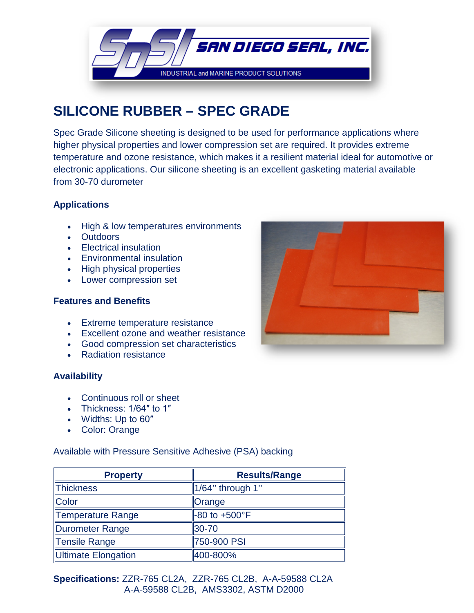

## **SILICONE RUBBER – SPEC GRADE**

Spec Grade Silicone sheeting is designed to be used for performance applications where higher physical properties and lower compression set are required. It provides extreme temperature and ozone resistance, which makes it a resilient material ideal for automotive or electronic applications. Our silicone sheeting is an excellent gasketing material available from 30-70 durometer

## **Applications**

- High & low temperatures environments
- Outdoors
- Electrical insulation
- Environmental insulation
- High physical properties
- Lower compression set

#### **Features and Benefits**

- Extreme temperature resistance
- Excellent ozone and weather resistance
- Good compression set characteristics
- Radiation resistance

### **Availability**

- Continuous roll or sheet
- Thickness: 1/64″ to 1″
- Widths: Up to 60″
- Color: Orange

Available with Pressure Sensitive Adhesive (PSA) backing

| <b>Property</b>     | <b>Results/Range</b>      |
|---------------------|---------------------------|
| Thickness           | $1/64$ " through 1"       |
| Color               | <b>Orange</b>             |
| Temperature Range   | $-80$ to $+500^{\circ}$ F |
| Durometer Range     | 30-70                     |
| Tensile Range       | 750-900 PSI               |
| Ultimate Elongation | 400-800%                  |

**Specifications:** ZZR-765 CL2A, ZZR-765 CL2B, A-A-59588 CL2A A A-A-59588 CL2B, AMS3302, ASTM D2000

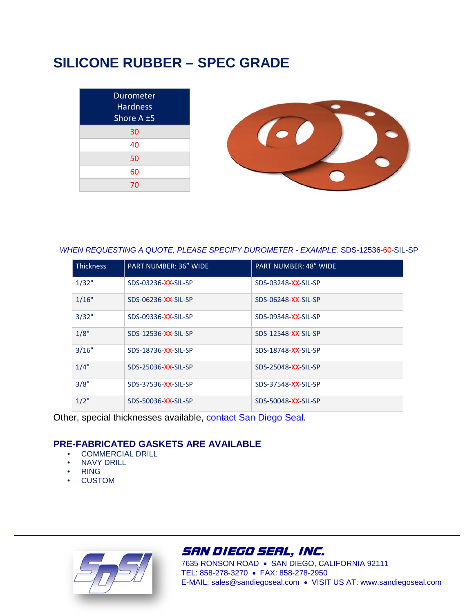## **SILICONE RUBBER – SPEC GRADE**

| Durometer<br>Hardness<br>Shore A ±5 |  |
|-------------------------------------|--|
| 30                                  |  |
| 40                                  |  |
| 50                                  |  |
| 60                                  |  |
| 70                                  |  |

#### *WHEN REQUESTING A QUOTE, PLEASE SPECIFY DUROMETER - EXAMPLE:* SDS-12536-60-SIL-SP

| <b>Thickness</b> | <b>PART NUMBER: 36" WIDE</b> | <b>PART NUMBER: 48" WIDE</b> |
|------------------|------------------------------|------------------------------|
| 1/32"            | SDS-03236-XX-SIL-SP          | SDS-03248-XX-SIL-SP          |
| 1/16"            | SDS-06236-XX-SIL-SP          | SDS-06248-XX-SIL-SP          |
| 3/32"            | SDS-09336-XX-SIL-SP          | SDS-09348-XX-SIL-SP          |
| 1/8"             | SDS-12536-XX-SIL-SP          | SDS-12548-XX-SIL-SP          |
| 3/16"            | SDS-18736-XX-SIL-SP          | SDS-18748-XX-SIL-SP          |
| 1/4"             | SDS-25036-XX-SIL-SP          | SDS-25048-XX-SIL-SP          |
| 3/8"             | SDS-37536-XX-SIL-SP          | SDS-37548-XX-SIL-SP          |
| $1/2$ "          | SDS-50036-XX-SIL-SP          | SDS-50048-XX-SIL-SP          |

Other, special thicknesses available, contact San Diego Seal.

## **PRE-FABRICATED GASKETS ARE AVAILABLE**

- COMMERCIAL DRILL
- **NAVY DRILL**
- RING
- **CUSTOM**



## SAN DIEGO SEAL, INC.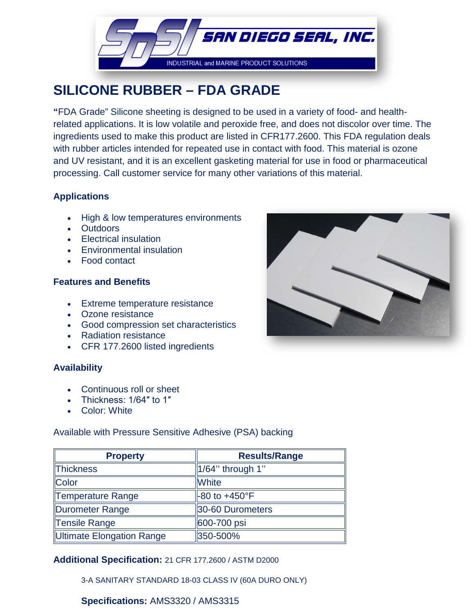

## **SILICONE RUBBER – FDA GRADE**

**"**FDA Grade" Silicone sheeting is designed to be used in a variety of food- and healthrelated applications. It is low volatile and peroxide free, and does not discolor over time. The ingredients used to make this product are listed in CFR177.2600. This FDA regulation deals with rubber articles intended for repeated use in contact with food. This material is ozone and UV resistant, and it is an excellent gasketing material for use in food or pharmaceutical processing. Call customer service for many other variations of this material.

## **Applications**

- High & low temperatures environments
- Outdoors
- Electrical insulation
- Environmental insulation
- Food contact

## **Features and Benefits**

- Extreme temperature resistance
- Ozone resistance
- Good compression set characteristics
- Radiation resistance
- CFR 177.2600 listed ingredients

## **Availability**

- Continuous roll or sheet
- Thickness: 1/64″ to 1″
- Color: White

## Available with Pressure Sensitive Adhesive (PSA) backing

| <b>Property</b>           | <b>Results/Range</b>     |
|---------------------------|--------------------------|
| Thickness                 | $1/64$ " through 1"      |
| Color                     | <b>White</b>             |
| Temperature Range         | $-80$ to $+450^{\circ}F$ |
| Durometer Range           | 30-60 Durometers         |
| Tensile Range             | 600-700 psi              |
| Ultimate Elongation Range | 350-500%                 |

## **Additional Specification:** 21 CFR 177.2600 / ASTM D2000

3-A SANITARY STANDARD 18-03 CLASS IV (60A DURO ONLY)

## **Specifications:** AMS3320 / AMS3315

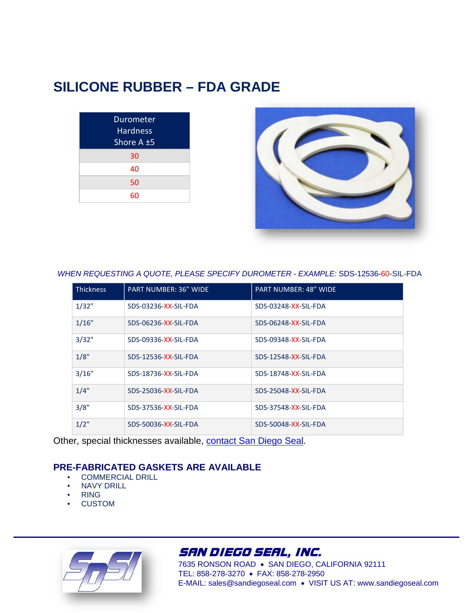## **SILICONE RUBBER – FDA GRADE**

| <b>Durometer</b><br><b>Hardness</b><br>Shore A ±5 |
|---------------------------------------------------|
| 30                                                |
| 40                                                |
| 50                                                |
| 60                                                |



 *WHEN REQUESTING A QUOTE, PLEASE SPECIFY DUROMETER - EXAMPLE:* SDS-12536-60-SIL-FDA

| <b>Thickness</b> | <b>PART NUMBER: 36" WIDE</b> | <b>PART NUMBER: 48" WIDE</b> |
|------------------|------------------------------|------------------------------|
| 1/32"            | SDS-03236-XX-SIL-FDA         | SDS-03248-XX-SIL-FDA         |
| 1/16"            | SDS-06236-XX-SIL-FDA         | SDS-06248-XX-SIL-FDA         |
| 3/32"            | SDS-09336-XX-SIL-FDA         | SDS-09348-XX-SIL-FDA         |
| 1/8"             | SDS-12536-XX-SIL-FDA         | SDS-12548-XX-SIL-FDA         |
| 3/16"            | SDS-18736-XX-SIL-FDA         | SDS-18748-XX-SIL-FDA         |
| 1/4"             | SDS-25036-XX-SIL-FDA         | SDS-25048-XX-SIL-FDA         |
| 3/8"             | SDS-37536-XX-SIL-FDA         | SDS-37548-XX-SIL-FDA         |
| $1/2$ "          | SDS-50036-XX-SIL-FDA         | SDS-50048-XX-SIL-FDA         |

Other, special thicknesses available, contact San Diego Seal.

## **PRE-FABRICATED GASKETS ARE AVAILABLE**

- COMMERCIAL DRILL
- **NAVY DRILL**
- RING
- **CUSTOM**



## SAN DIEGO SEAL, INC.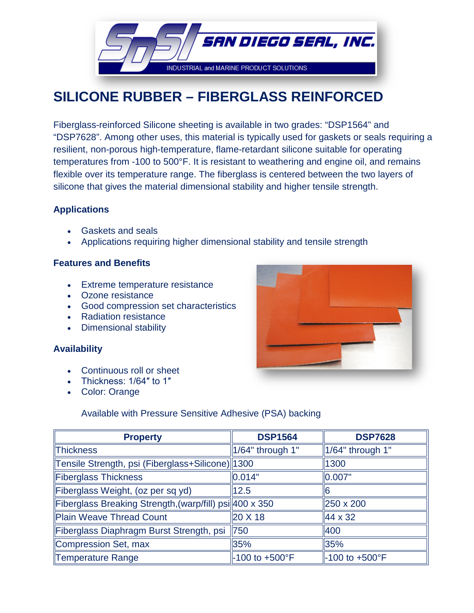

## **SILICONE RUBBER – FIBERGLASS REINFORCED**

Fiberglass-reinforced Silicone sheeting is available in two grades: "DSP1564" and "DSP7628". Among other uses, this material is typically used for gaskets or seals requiring a resilient, non-porous high-temperature, flame-retardant silicone suitable for operating temperatures from -100 to 500°F. It is resistant to weathering and engine oil, and remains flexible over its temperature range. The fiberglass is centered between the two layers of silicone that gives the material dimensional stability and higher tensile strength.

### **Applications**

- Gaskets and seals
- Applications requiring higher dimensional stability and tensile strength

### **Features and Benefits**

- Extreme temperature resistance
- Ozone resistance
- Good compression set characteristics
- Radiation resistance
- Dimensional stability

### **Availability**

- Continuous roll or sheet
- Thickness: 1/64″ to 1″
- Color: Orange



### Available with Pressure Sensitive Adhesive (PSA) backing

| <b>Property</b>                                         | <b>DSP1564</b>      | <b>DSP7628</b>      |
|---------------------------------------------------------|---------------------|---------------------|
| <b>Thickness</b>                                        | 1/64" through 1"    | 1/64" through 1"    |
| Tensile Strength, psi (Fiberglass+Silicone) 1300        |                     | 1300                |
| <b>Fiberglass Thickness</b>                             | 0.014"              | 0.007"              |
| Fiberglass Weight, (oz per sq yd)                       | 12.5                | 16                  |
| Fiberglass Breaking Strength, (warp/fill) psi 400 x 350 |                     | 250 x 200           |
| <b>Plain Weave Thread Count</b>                         | 20 X 18             | $\parallel$ 44 x 32 |
| Fiberglass Diaphragm Burst Strength, psi                | 750                 | 400                 |
| Compression Set, max                                    | 35%                 | 35%                 |
| <b>Temperature Range</b>                                | $-100$ to $+500$ °F | $-100$ to $+500$ °F |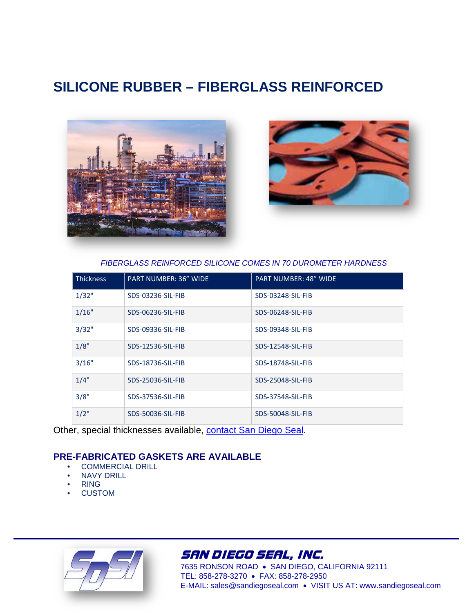## **SILICONE RUBBER – FIBERGLASS REINFORCED**





*FIBERGLASS REINFORCED SILICONE COMES IN 70 DUROMETER HARDNESS*

| <b>Thickness</b> | <b>PART NUMBER: 36" WIDE</b> | <b>PART NUMBER: 48" WIDE</b> |
|------------------|------------------------------|------------------------------|
| 1/32"            | SDS-03236-SIL-FIB            | SDS-03248-SIL-FIB            |
| 1/16"            | SDS-06236-SIL-FIB            | SDS-06248-SIL-FIB            |
| 3/32"            | SDS-09336-SIL-FIB            | SDS-09348-SIL-FIB            |
| 1/8"             | SDS-12536-SIL-FIB            | SDS-12548-SIL-FIB            |
| 3/16"            | SDS-18736-SIL-FIB            | SDS-18748-SIL-FIB            |
| 1/4"             | SDS-25036-SIL-FIB            | SDS-25048-SIL-FIB            |
| 3/8"             | SDS-37536-SIL-FIB            | SDS-37548-SIL-FIB            |
| $1/2$ "          | SDS-50036-SIL-FIB            | SDS-50048-SIL-FIB            |

Other, special thicknesses available, contact San Diego Seal.

## **PRE-FABRICATED GASKETS ARE AVAILABLE**

- COMMERCIAL DRILL
- NAVY DRILL
- RING
- **CUSTOM**



## SAN DIEGO SEAL, INC.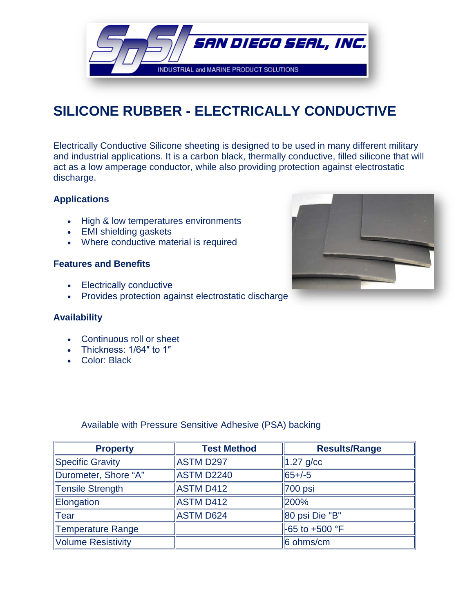

# **SILICONE RUBBER - ELECTRICALLY CONDUCTIVE**

Electrically Conductive Silicone sheeting is designed to be used in many different military and industrial applications. It is a carbon black, thermally conductive, filled silicone that will act as a low amperage conductor, while also providing protection against electrostatic discharge.

## **Applications**

- High & low temperatures environments
- EMI shielding gaskets
- Where conductive material is required

### **Features and Benefits**

- Electrically conductive
- Provides protection against electrostatic discharge

### **Availability**

- Continuous roll or sheet
- Thickness: 1/64″ to 1″
- Color: Black

Available with Pressure Sensitive Adhesive (PSA) backing

| <b>Property</b>      | <b>Test Method</b> | <b>Results/Range</b> |
|----------------------|--------------------|----------------------|
| Specific Gravity     | <b>ASTM D297</b>   | $1.27$ g/cc          |
| Durometer, Shore "A" | ASTM D2240         | $65 + (-5)$          |
| Tensile Strength     | <b>ASTM D412</b>   | 700 psi              |
| Elongation           | <b>ASTM D412</b>   | 200%                 |
| $\ $ Tear            | <b>ASTM D624</b>   | 80 psi Die "B"       |
| Temperature Range    |                    | $-65$ to $+500$ °F   |
| Volume Resistivity   |                    | 6 ohms/cm            |

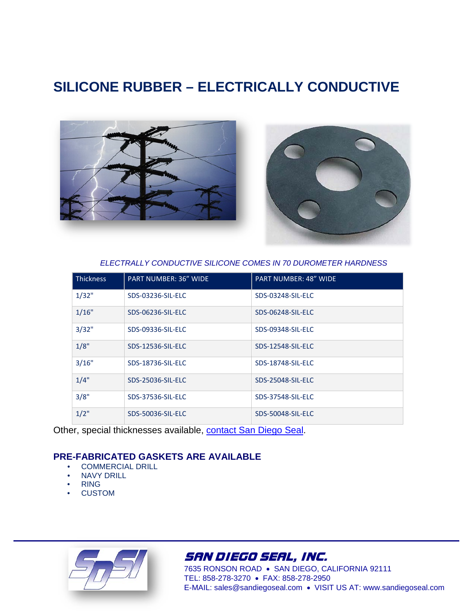## **SILICONE RUBBER – ELECTRICALLY CONDUCTIVE**



*ELECTRALLY CONDUCTIVE SILICONE COMES IN 70 DUROMETER HARDNESS*

| <b>Thickness</b> | <b>PART NUMBER: 36" WIDE</b> | <b>PART NUMBER: 48" WIDE</b> |
|------------------|------------------------------|------------------------------|
| 1/32"            | SDS-03236-SIL-ELC            | SDS-03248-SIL-ELC            |
| 1/16"            | SDS-06236-SIL-ELC            | SDS-06248-SIL-ELC            |
| 3/32"            | SDS-09336-SIL-ELC            | SDS-09348-SIL-ELC            |
| 1/8"             | SDS-12536-SIL-ELC            | SDS-12548-SIL-ELC            |
| 3/16"            | SDS-18736-SIL-ELC            | SDS-18748-SIL-ELC            |
| 1/4"             | SDS-25036-SIL-ELC            | SDS-25048-SIL-ELC            |
| 3/8"             | SDS-37536-SIL-ELC            | SDS-37548-SIL-ELC            |
| $1/2$ "          | SDS-50036-SIL-ELC            | <b>SDS-50048-SIL-ELC</b>     |

Other, special thicknesses available, contact San Diego Seal.

## **PRE-FABRICATED GASKETS ARE AVAILABLE**

- COMMERCIAL DRILL
- NAVY DRILL
- RING
- **CUSTOM**



## SAN DIEGO SEAL, INC.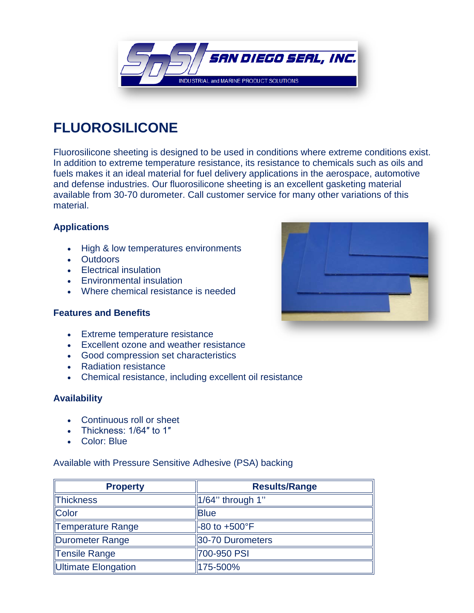

# **FLUOROSILICONE**

Fluorosilicone sheeting is designed to be used in conditions where extreme conditions exist. In addition to extreme temperature resistance, its resistance to chemicals such as oils and fuels makes it an ideal material for fuel delivery applications in the aerospace, automotive and defense industries. Our fluorosilicone sheeting is an excellent gasketing material available from 30-70 durometer. Call customer service for many other variations of this material.

## **Applications**

- High & low temperatures environments
- Outdoors
- Electrical insulation
- Environmental insulation
- Where chemical resistance is needed

### **Features and Benefits**



- Extreme temperature resistance
- Excellent ozone and weather resistance
- Good compression set characteristics
- Radiation resistance
- Chemical resistance, including excellent oil resistance

### **Availability**

- Continuous roll or sheet
- Thickness: 1/64″ to 1″
- Color: Blue

Available with Pressure Sensitive Adhesive (PSA) backing

| <b>Property</b>     | <b>Results/Range</b>      |
|---------------------|---------------------------|
| Thickness           | $\vert$ 1/64" through 1"  |
| Color               | <b>Blue</b>               |
| Temperature Range   | $-80$ to $+500^{\circ}$ F |
| Durometer Range     | 30-70 Durometers          |
| Tensile Range       | 700-950 PSI               |
| Ultimate Elongation | 175-500%                  |